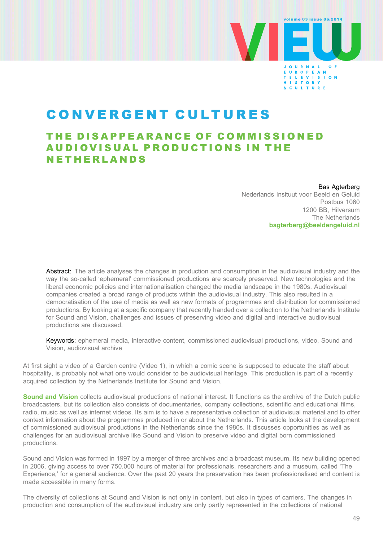

# CONVERGENT CULTURES

## THE DISAPPEARANCE OF COMMISSIONED AUDIOVISUAL PRODUCTIONS IN THE NETHERLANDS

#### Bas Agterberg

Nederlands Insituut voor Beeld en Geluid Postbus 1060 1200 BB, Hilversum The Netherlands [bagterberg@beeldengeluid.nl](mailto:bagterberg@beeldengeluid.nl)

Abstract: The article analyses the changes in production and consumption in the audiovisual industry and the way the so-called 'ephemeral' commissioned productions are scarcely preserved. New technologies and the liberal economic policies and internationalisation changed the media landscape in the 1980s. Audiovisual companies created a broad range of products within the audiovisual industry. This also resulted in a democratisation of the use of media as well as new formats of programmes and distribution for commissioned productions. By looking at a specific company that recently handed over a collection to the Netherlands Institute for Sound and Vision, challenges and issues of preserving video and digital and interactive audiovisual productions are discussed.

Keywords: ephemeral media, interactive content, commissioned audiovisual productions, video, Sound and Vision, audiovisual archive

At first sight a video of a Garden centre (Video 1), in which a comic scene is supposed to educate the staff about hospitality, is probably not what one would consider to be audiovisual heritage. This production is part of a recently acquired collection by the Netherlands Institute for Sound and Vision.

[Sound and Vision](http://www.beeldengeluid.nl/en/netherlands-institute-sound-and-vision) collects audiovisual productions of national interest. It functions as the archive of the Dutch public broadcasters, but its collection also consists of documentaries, company collections, scientific and educational films, radio, music as well as internet videos. Its aim is to have a representative collection of audiovisual material and to offer context information about the programmes produced in or about the Netherlands. This article looks at the development of commissioned audiovisual productions in the Netherlands since the 1980s. It discusses opportunities as well as challenges for an audiovisual archive like Sound and Vision to preserve video and digital born commissioned productions.

Sound and Vision was formed in 1997 by a merger of three archives and a broadcast museum. Its new building opened in 2006, giving access to over 750.000 hours of material for professionals, researchers and a museum, called 'The Experience,' for a general audience. Over the past 20 years the preservation has been professionalised and content is made accessible in many forms.

The diversity of collections at Sound and Vision is not only in content, but also in types of carriers. The changes in production and consumption of the audiovisual industry are only partly represented in the collections of national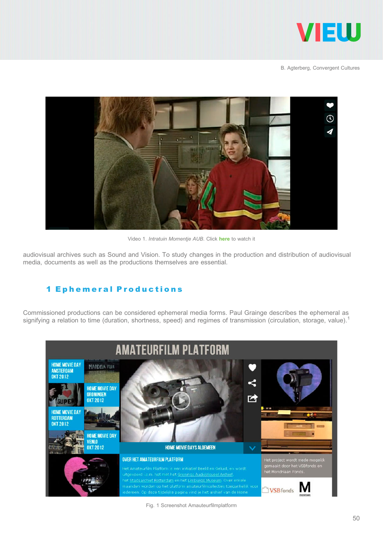



Video 1. Intratuin Momentie AUB. Click [here](http://vimeo.com/57048357) to watch it

audiovisual archives such as Sound and Vision. To study changes in the production and distribution of audiovisual media, documents as well as the productions themselves are essential.

### 1 Ephemeral Productions

Commissioned productions can be considered ephemeral media forms. Paul Grainge describes the ephemeral as signifying a relation to time (duration, shortness, speed) and regimes of transmission (circulation, storage, value).<sup>1</sup>



Fig. 1 Screenshot Amauteurfilmplatform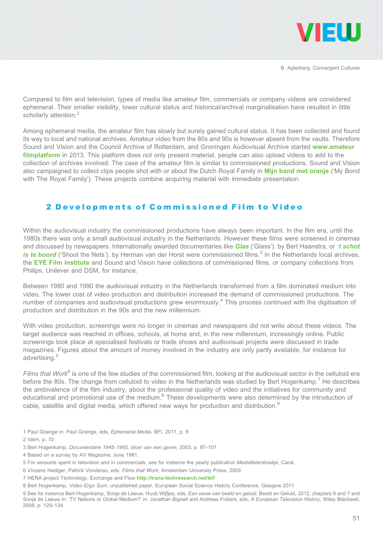

Compared to film and television, types of media like amateur film, commercials or company videos are considered ephemeral. Their smaller visibility, lower cultural status and historical/archival marginalisation have resulted in little scholarly attention.<sup>2</sup>

Among ephemeral media, the amateur film has slowly but surely gained cultural status. It has been collected and found its way to local and national archives. Amateur video from the 80s and 90s is however absent from the vaults. Therefore Sound and Vision and the Council Archive of Rotterdam, and Groningen Audiovisual Archive started [www.amateur](http://www.amateurfilmplatform) [filmplatform](http://www.amateurfilmplatform) in 2013. This platform does not only present material, people can also upload videos to add to the collection of archives involved. The case of the amateur film is similar to commissioned productions. Sound and Vision also campaigned to collect clips people shot with or about the Dutch Royal Family in [Mijn band met oranje](http://www.amateurfilmplatform.nl/mijnbandmetoranje) ('My Bond with The Royal Family'). These projects combine acquiring material with immediate presentation.

#### 2 Developments of Commissioned Film to Video

Within the audiovisual industry the commissioned productions have always been important. In the film era, until the 1980s there was only a small audiovisual industry in the Netherlands. However these films were screened in cinemas and discussed by newspapers. Internationally awarded documentaries like [Glas](http://www.youtube.com/watch?v=tz2BiiSziJ8) ('Glass'). by Bert Haanstra, or '[t schot](http://www.youtube.com/watch?v=3Oo2El0Mgu8) [is te boord](http://www.youtube.com/watch?v=3Oo2El0Mgu8) ('Shoot the Nets'). by Herman van der Horst were commissioned films.<sup>3</sup> In the Netherlands local archives, the [EYE Film Institute](http://www.eyefilm.nl/en) and Sound and Vision have collections of commissioned films, or company collections from Philips, Unilever and DSM, for instance.

Between 1980 and 1990 the audiovisual industry in the Netherlands transformed from a film dominated medium into video. The lower cost of video production and distribution increased the demand of commissioned productions. The number of companies and audiovisual productions grew enormously.<sup>4</sup> This process continued with the digitisation of production and distribution in the 90s and the new millennium.

With video production, screenings were no longer in cinemas and newspapers did not write about these videos. The target audience was reached in offices, schools, at home and, in the new millennium, increasingly online. Public screenings took place at specialised festivals or trade shows and audiovisual projects were discussed in trade magazines. Figures about the amount of money involved in the industry are only partly available, for instance for advertising.<sup>5</sup>

Films that Work<sup>6</sup> is one of the few studies of the commissioned film, looking at the audiovisual sector in the celluloid era before the 80s. The change from celluloid to video in the Netherlands was studied by Bert Hogenkamp.<sup>7</sup> He describes the ambivalence of the film industry, about the professional quality of video and the initiatives for community and educational and promotional use of the medium.<sup>8</sup> These developments were also determined by the introduction of cable, satellite and digital media, which offered new ways for production and distribution.<sup>9</sup>

1 Paul Grainge in: Paul Grainge, eds, Ephemeral Media, BFI, 2011, p. 9

2 Idem, p. 10

- 3 Bert Hogenkamp, Documentaire 1945–1965, bloei van een genre, 2003, p. 97–101
- 4 Based on a survey by AV Magazine, June 1981.

<sup>5</sup> For amounts spent in television and in commercials, see for instance the yearly publication Mediafeitenboekje, Carat.

<sup>6</sup> Vinzenz Hediger, Patrick Vonderau, eds, Films that Work, Amsterdam University Press, 2009

<sup>7</sup> HERA project Technology, Exchange and Flow <http://trans-techresearch.net/tef/>

<sup>8</sup> Bert Hogenkamp, Video Ergo Sum, unpublished paper, European Social Science History Conference, Glasgow 2011

<sup>9</sup> See for instance Bert Hogenkamp, Sonja de Leeuw, Huub Wijfjes, eds, Een eeuw van beeld en geluid, Beeld en Geluid, 2012, chapters 6 and 7 and Sonja de Leeuw in: 'TV Nations or Global Medium?' in: Jonathan Bignell and Andreas Fickers, eds, A European Television History, Wiley Blackwell, 2008, p. 129–134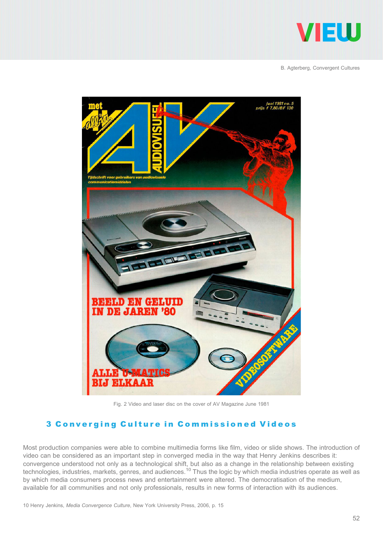



Fig. 2 Video and laser disc on the cover of AV Magazine June 1981

#### 3 Converging Culture in Commissioned Videos

Most production companies were able to combine multimedia forms like film, video or slide shows. The introduction of video can be considered as an important step in converged media in the way that Henry Jenkins describes it: convergence understood not only as a technological shift, but also as a change in the relationship between existing technologies, industries, markets, genres, and audiences.<sup>10</sup> Thus the logic by which media industries operate as well as by which media consumers process news and entertainment were altered. The democratisation of the medium, available for all communities and not only professionals, results in new forms of interaction with its audiences.

10 Henry Jenkins, Media Convergence Culture, New York University Press, 2006, p. 15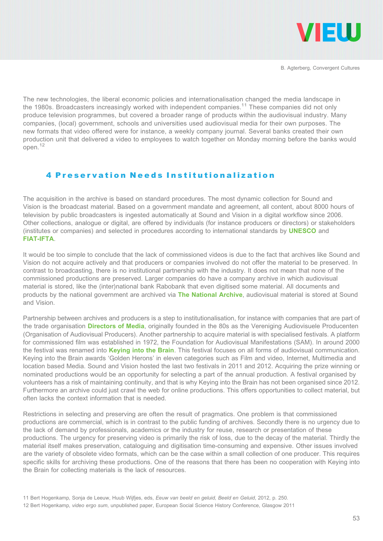

The new technologies, the liberal economic policies and internationalisation changed the media landscape in the 1980s. Broadcasters increasingly worked with independent companies.<sup>11</sup> These companies did not only produce television programmes, but covered a broader range of products within the audiovisual industry. Many companies, (local) government, schools and universities used audiovisual media for their own purposes. The new formats that video offered were for instance, a weekly company journal. Several banks created their own production unit that delivered a video to employees to watch together on Monday morning before the banks would open.<sup>12</sup>

#### 4 Preservation Needs Institutionalization

The acquisition in the archive is based on standard procedures. The most dynamic collection for Sound and Vision is the broadcast material. Based on a government mandate and agreement, all content, about 8000 hours of television by public broadcasters is ingested automatically at Sound and Vision in a digital workflow since 2006. Other collections, analogue or digital, are offered by individuals (for instance producers or directors) or stakeholders (institutes or companies) and selected in procedures according to international standards by [UNESCO](http://www.unesco.org/new/en/communication-and-information/access-to-knowledge/archives/world-day-for-audiovisual-heritage/) and [FIAT-IFTA](http://fiatifta.org/).

It would be too simple to conclude that the lack of commissioned videos is due to the fact that archives like Sound and Vision do not acquire actively and that producers or companies involved do not offer the material to be preserved. In contrast to broadcasting, there is no institutional partnership with the industry. It does not mean that none of the commissioned productions are preserved. Larger companies do have a company archive in which audiovisual material is stored, like the (inter)national bank Rabobank that even digitised some material. All documents and products by the national government are archived via [The National Archive](http://www.nationaalarchief.nl/), audiovisual material is stored at Sound and Vision.

Partnership between archives and producers is a step to institutionalisation, for instance with companies that are part of the trade organisation **[Directors of Media](http://directorsofmedia.net/)**, originally founded in the 80s as the Vereniging Audiovisuele Producenten (Organisation of Audiovisual Producers). Another partnership to acquire material is with specialised festivals. A platform for commissioned film was established in 1972, the Foundation for Audiovisual Manifestations (SAM). In around 2000 the festival was renamed into **[Keying into the Brain](http://www.keyingintothebrain.nl/)**. This festival focuses on all forms of audiovisual communication. Keying into the Brain awards 'Golden Herons' in eleven categories such as Film and video, Internet, Multimedia and location based Media. Sound and Vision hosted the last two festivals in 2011 and 2012. Acquiring the prize winning or nominated productions would be an opportunity for selecting a part of the annual production. A festival organised by volunteers has a risk of maintaining continuity, and that is why Keying into the Brain has not been organised since 2012. Furthermore an archive could just crawl the web for online productions. This offers opportunities to collect material, but often lacks the context information that is needed.

Restrictions in selecting and preserving are often the result of pragmatics. One problem is that commissioned productions are commercial, which is in contrast to the public funding of archives. Secondly there is no urgency due to the lack of demand by professionals, academics or the industry for reuse, research or presentation of these productions. The urgency for preserving video is primarily the risk of loss, due to the decay of the material. Thirdly the material itself makes preservation, cataloguing and digitisation time-consuming and expensive. Other issues involved are the variety of obsolete video formats, which can be the case within a small collection of one producer. This requires specific skills for archiving these productions. One of the reasons that there has been no cooperation with Keying into the Brain for collecting materials is the lack of resources.

<sup>11</sup> Bert Hogenkamp, Sonja de Leeuw, Huub Wijfjes, eds, Eeuw van beeld en geluid, Beeld en Geluid, 2012, p. 250.

<sup>12</sup> Bert Hogenkamp, video ergo sum, unpublished paper, European Social Science History Conference, Glasgow 2011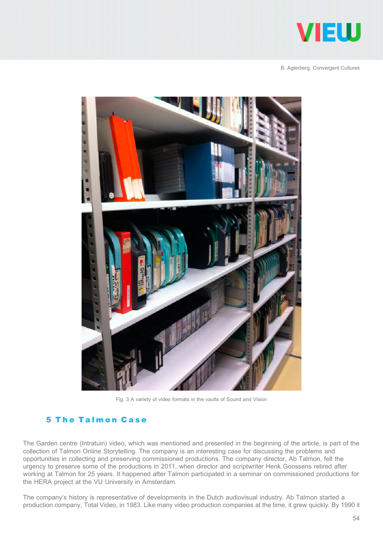



Fig. 3 A variety of video formats in the vaults of Sound and Vision

### 5 The Talmon Case

The Garden centre (Intratuin) video, which was mentioned and presented in the beginning of the article, is part of the collection of Talmon Online Storytelling. The company is an interesting case for discussing the problems and opportunities in collecting and preserving commissioned productions. The company director, Ab Talmon, felt the urgency to preserve some of the productions in 2011, when director and scriptwriter Henk Goossens retired after working at Talmon for 25 years. It happened after Talmon participated in a seminar on commissioned productions for the HERA project at the VU University in Amsterdam.

The company's history is representative of developments in the Dutch audiovisual industry. Ab Talmon started a production company, Total Video, in 1983. Like many video production companies at the time, it grew quickly. By 1990 it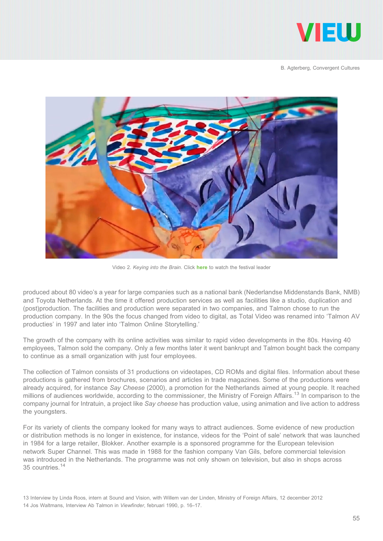



Video 2. Keying into the Brain. Click [here](http://www.youtube.com/watch?v=uG-KtUZgt14) to watch the festival leader

produced about 80 video's a year for large companies such as a national bank (Nederlandse Middenstands Bank, NMB) and Toyota Netherlands. At the time it offered production services as well as facilities like a studio, duplication and (post)production. The facilities and production were separated in two companies, and Talmon chose to run the production company. In the 90s the focus changed from video to digital, as Total Video was renamed into 'Talmon AV producties' in 1997 and later into 'Talmon Online Storytelling.'

The growth of the company with its online activities was similar to rapid video developments in the 80s. Having 40 employees, Talmon sold the company. Only a few months later it went bankrupt and Talmon bought back the company to continue as a small organization with just four employees.

The collection of Talmon consists of 31 productions on videotapes, CD ROMs and digital files. Information about these productions is gathered from brochures, scenarios and articles in trade magazines. Some of the productions were already acquired, for instance Say Cheese (2000), a promotion for the Netherlands aimed at young people. It reached millions of audiences worldwide, according to the commissioner, the Ministry of Foreign Affairs.<sup>13</sup> In comparison to the company journal for Intratuin, a project like Say cheese has production value, using animation and live action to address the youngsters.

For its variety of clients the company looked for many ways to attract audiences. Some evidence of new production or distribution methods is no longer in existence, for instance, videos for the 'Point of sale' network that was launched in 1984 for a large retailer, Blokker. Another example is a sponsored programme for the European television network Super Channel. This was made in 1988 for the fashion company Van Gils, before commercial television was introduced in the Netherlands. The programme was not only shown on television, but also in shops across 35 countries.<sup>14</sup>

<sup>13</sup> Interview by Linda Roos, intern at Sound and Vision, with Willem van der Linden, Ministry of Foreign Affairs, 12 december 2012

<sup>14</sup> Jos Waltmans, Interview Ab Talmon in Viewfinder, februari 1990, p. 16–17.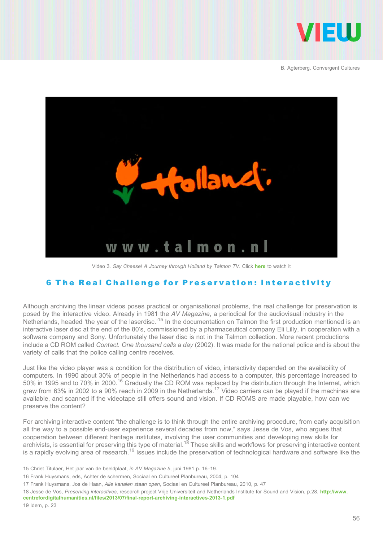



Video 3. Say Cheese! A Journey through Holland by Talmon TV. Click [here](http://www.youtube.com/watch?v=VriGviebkAY) to watch it

#### 6 The Real Challenge for Preservation: Interactivity

Although archiving the linear videos poses practical or organisational problems, the real challenge for preservation is posed by the interactive video. Already in 1981 the AV Magazine, a periodical for the audiovisual industry in the Netherlands, headed 'the year of the laserdisc.'<sup>15</sup> In the documentation on Talmon the first production mentioned is an interactive laser disc at the end of the 80's, commissioned by a pharmaceutical company Eli Lilly, in cooperation with a software company and Sony. Unfortunately the laser disc is not in the Talmon collection. More recent productions include a CD ROM called Contact. One thousand calls a day (2002). It was made for the national police and is about the variety of calls that the police calling centre receives.

Just like the video player was a condition for the distribution of video, interactivity depended on the availability of computers. In 1990 about 30% of people in the Netherlands had access to a computer, this percentage increased to 50% in 1995 and to 70% in 2000.<sup>16</sup> Gradually the CD ROM was replaced by the distribution through the Internet, which grew from 63% in 2002 to a 90% reach in 2009 in the Netherlands.17 Video carriers can be played if the machines are available, and scanned if the videotape still offers sound and vision. If CD ROMS are made playable, how can we preserve the content?

For archiving interactive content "the challenge is to think through the entire archiving procedure, from early acquisition all the way to a possible end-user experience several decades from now," says Jesse de Vos, who argues that cooperation between different heritage institutes, involving the user communities and developing new skills for archivists, is essential for preserving this type of material.<sup>18</sup> These skills and workflows for preserving interactive content is a rapidly evolving area of research.<sup>19</sup> Issues include the preservation of technological hardware and software like the

<sup>15</sup> Chriet Titulaer, Het jaar van de beeldplaat, in AV Magazine 5, juni 1981 p. 16–19.

<sup>16</sup> Frank Huysmans, eds, Achter de schermen, Sociaal en Cultureel Planbureau, 2004, p. 104

<sup>17</sup> Frank Huysmans, Jos de Haan, Alle kanalen staan open, Sociaal en Cultureel Planbureau, 2010, p. 47

<sup>18</sup> Jesse de Vos, Preserving interactives, research project Vrije Universiteit and Netherlands Institute for Sound and Vision, p.28. [http://www.](http://www.centrefordigitalhumanities.nl/files/2013/07/final-report-archiving-interactives-2013-1.pdf) [centrefordigitalhumanities.nl/files/2013/07/final-report-archiving-interactives-2013-1.pdf](http://www.centrefordigitalhumanities.nl/files/2013/07/final-report-archiving-interactives-2013-1.pdf)